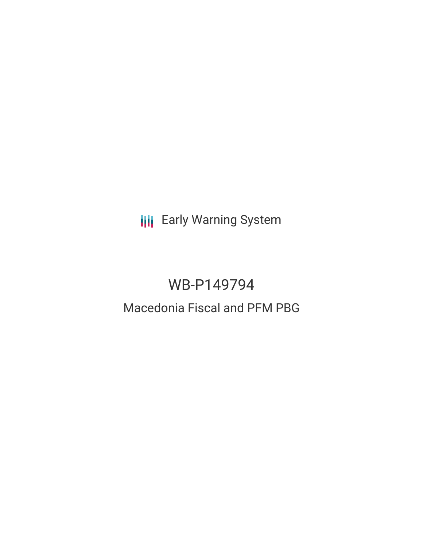**III** Early Warning System

# WB-P149794

# Macedonia Fiscal and PFM PBG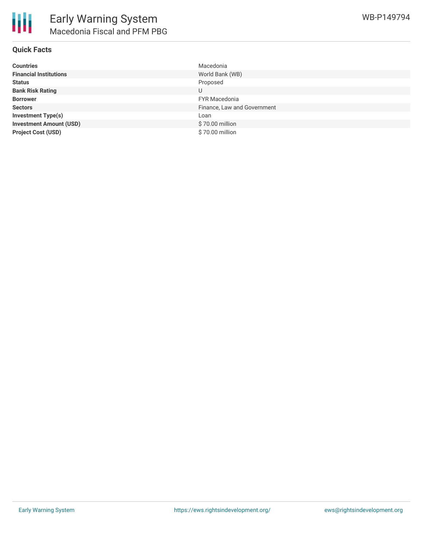

## **Quick Facts**

| <b>Countries</b>               | Macedonia                   |
|--------------------------------|-----------------------------|
| <b>Financial Institutions</b>  | World Bank (WB)             |
| <b>Status</b>                  | Proposed                    |
| <b>Bank Risk Rating</b>        | U                           |
| <b>Borrower</b>                | <b>FYR Macedonia</b>        |
| <b>Sectors</b>                 | Finance, Law and Government |
| <b>Investment Type(s)</b>      | Loan                        |
| <b>Investment Amount (USD)</b> | \$70.00 million             |
| <b>Project Cost (USD)</b>      | \$70.00 million             |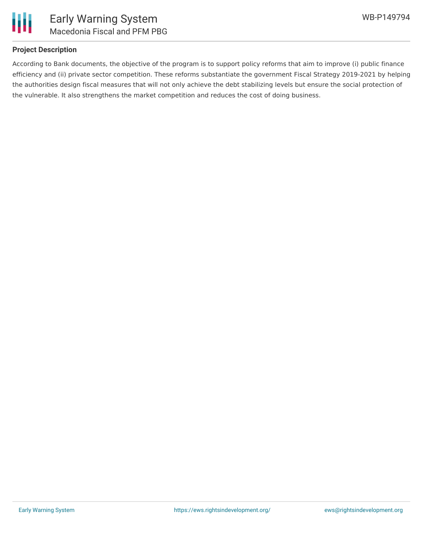

## **Project Description**

According to Bank documents, the objective of the program is to support policy reforms that aim to improve (i) public finance efficiency and (ii) private sector competition. These reforms substantiate the government Fiscal Strategy 2019-2021 by helping the authorities design fiscal measures that will not only achieve the debt stabilizing levels but ensure the social protection of the vulnerable. It also strengthens the market competition and reduces the cost of doing business.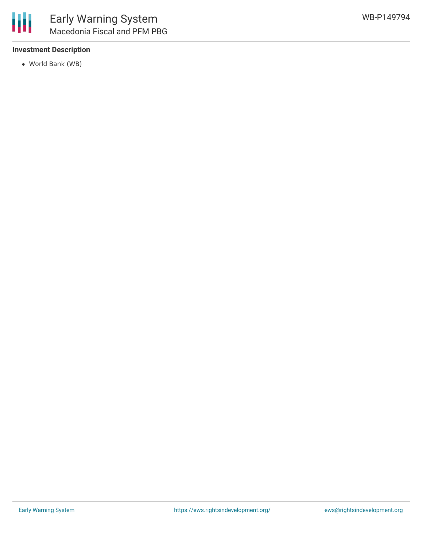#### **Investment Description**

World Bank (WB)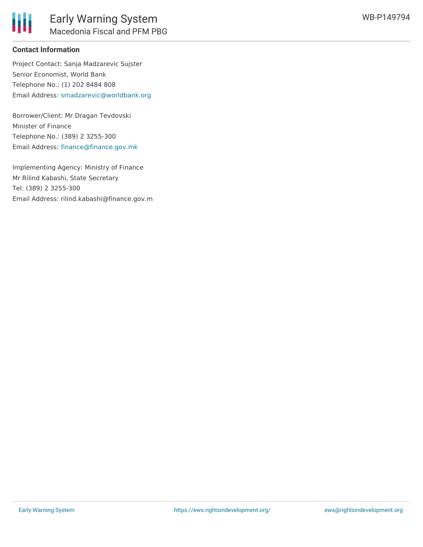

## **Contact Information**

Project Contact: Sanja Madzarevic Sujster Senior Economist, World Bank Telephone No.: (1) 202 8484 808 Email Address: [smadzarevic@worldbank.org](mailto:smadzarevic@worldbank.org)

Borrower/Client: Mr Dragan Tevdovski Minister of Finance Telephone No.: (389) 2 3255-300 Email Address: [finance@finance.gov.mk](mailto:finance@finance.gov.mk)

Implementing Agency: Ministry of Finance Mr Rilind Kabashi, State Secretary Tel: (389) 2 3255-300 Email Address: rilind.kabashi@finance.gov.m